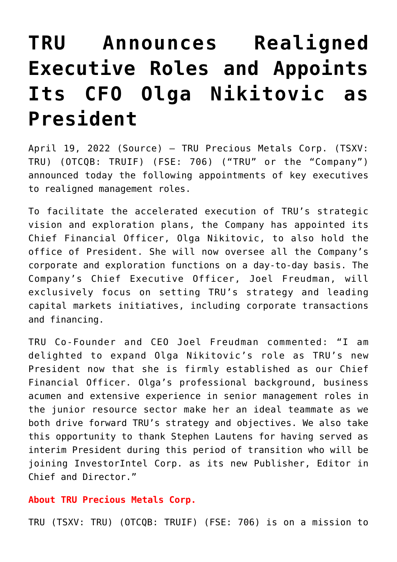# **[TRU Announces Realigned](https://investorintel.com/markets/gold-silver-base-metals/gold-precious-metals-news/tru-announces-realigned-executive-roles-and-appoints-its-cfo-olga-nikitovic-as-president/) [Executive Roles and Appoints](https://investorintel.com/markets/gold-silver-base-metals/gold-precious-metals-news/tru-announces-realigned-executive-roles-and-appoints-its-cfo-olga-nikitovic-as-president/) [Its CFO Olga Nikitovic as](https://investorintel.com/markets/gold-silver-base-metals/gold-precious-metals-news/tru-announces-realigned-executive-roles-and-appoints-its-cfo-olga-nikitovic-as-president/) [President](https://investorintel.com/markets/gold-silver-base-metals/gold-precious-metals-news/tru-announces-realigned-executive-roles-and-appoints-its-cfo-olga-nikitovic-as-president/)**

April 19, 2022 ([Source\)](https://www.newsfilecorp.com/release/120915) – TRU Precious Metals Corp. (TSXV: TRU) (OTCQB: TRUIF) (FSE: 706) ("TRU" or the "Company") announced today the following appointments of key executives to realigned management roles.

To facilitate the accelerated execution of TRU's strategic vision and exploration plans, the Company has appointed its Chief Financial Officer, Olga Nikitovic, to also hold the office of President. She will now oversee all the Company's corporate and exploration functions on a day-to-day basis. The Company's Chief Executive Officer, Joel Freudman, will exclusively focus on setting TRU's strategy and leading capital markets initiatives, including corporate transactions and financing.

TRU Co-Founder and CEO Joel Freudman commented: "I am delighted to expand Olga Nikitovic's role as TRU's new President now that she is firmly established as our Chief Financial Officer. Olga's professional background, business acumen and extensive experience in senior management roles in the junior resource sector make her an ideal teammate as we both drive forward TRU's strategy and objectives. We also take this opportunity to thank Stephen Lautens for having served as interim President during this period of transition who will be joining InvestorIntel Corp. as its new Publisher, Editor in Chief and Director."

#### **About TRU Precious Metals Corp.**

TRU (TSXV: TRU) (OTCQB: TRUIF) (FSE: 706) is on a mission to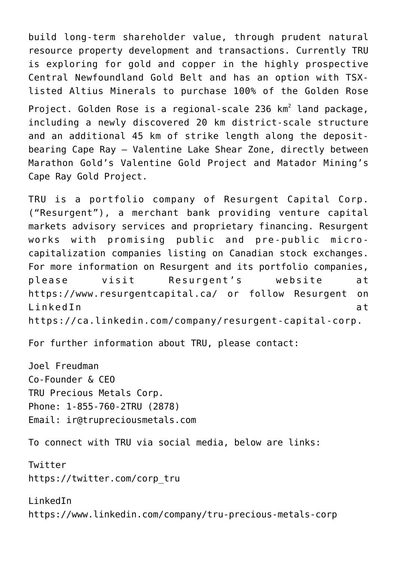build long-term shareholder value, through prudent natural resource property development and transactions. Currently TRU is exploring for gold and copper in the highly prospective Central Newfoundland Gold Belt and has an option with TSXlisted Altius Minerals to purchase 100% of the Golden Rose Project. Golden Rose is a regional-scale 236  $km^2$  land package, including a newly discovered 20 km district-scale structure and an additional 45 km of strike length along the depositbearing Cape Ray – Valentine Lake Shear Zone, directly between Marathon Gold's Valentine Gold Project and Matador Mining's Cape Ray Gold Project.

TRU is a portfolio company of Resurgent Capital Corp. ("Resurgent"), a merchant bank providing venture capital markets advisory services and proprietary financing. Resurgent works with promising public and pre-public microcapitalization companies listing on Canadian stock exchanges. For more information on Resurgent and its portfolio companies, please visit Resurgent's website at [https://www.resurgentcapital.ca/](https://mandrillapp.com/track/click/30568383/www.newsfilecorp.com?p=eyJzIjoibU14TVRfMEpBZGVTS1pha0JXTGJxOVBCbUc4IiwidiI6MSwicCI6IntcInVcIjozMDU2ODM4MyxcInZcIjoxLFwidXJsXCI6XCJodHRwczpcXFwvXFxcL3d3dy5uZXdzZmlsZWNvcnAuY29tXFxcL3JlZGlyZWN0XFxcL0VyeDNac01hek9cIixcImlkXCI6XCI5ODQxMzBjNGRjOTU0Y2NiOTUwZmQ5ZTYzYjAzN2M0OFwiLFwidXJsX2lkc1wiOltcImQ2YTAwMzVhZmMzZjRhMjBlNzI4YzE0MzBjOThlMTUzMTliOTlmYmFcIl19In0) or follow Resurgent on LinkedIn at [https://ca.linkedin.com/company/resurgent-capital-corp](https://mandrillapp.com/track/click/30568383/www.newsfilecorp.com?p=eyJzIjoiZ2FhRnVfb21fejBhMVhtdDBYMWN1WUs4VHc4IiwidiI6MSwicCI6IntcInVcIjozMDU2ODM4MyxcInZcIjoxLFwidXJsXCI6XCJodHRwczpcXFwvXFxcL3d3dy5uZXdzZmlsZWNvcnAuY29tXFxcL3JlZGlyZWN0XFxcL3hPUTBFSFF6Qk5cIixcImlkXCI6XCI5ODQxMzBjNGRjOTU0Y2NiOTUwZmQ5ZTYzYjAzN2M0OFwiLFwidXJsX2lkc1wiOltcImQ5ZDA0ZjBmMWVkNjM0MTVmMjczYjY1MTMyYjRkZTc4MTc3NzY4ZDVcIl19In0).

For further information about TRU, please contact:

Joel Freudman Co-Founder & CEO TRU Precious Metals Corp. Phone: 1-855-760-2TRU (2878) Email: [ir@trupreciousmetals.com](mailto:ir@trupreciousmetals.com)

To connect with TRU via social media, below are links:

Twitter [https://twitter.com/corp\\_tru](https://mandrillapp.com/track/click/30568383/www.newsfilecorp.com?p=eyJzIjoiaTZMN1hzS3RIWHc3SGQycTBJNTBXSzBZcWRzIiwidiI6MSwicCI6IntcInVcIjozMDU2ODM4MyxcInZcIjoxLFwidXJsXCI6XCJodHRwczpcXFwvXFxcL3d3dy5uZXdzZmlsZWNvcnAuY29tXFxcL3JlZGlyZWN0XFxcLzdleDVuZlowUk9cIixcImlkXCI6XCI5ODQxMzBjNGRjOTU0Y2NiOTUwZmQ5ZTYzYjAzN2M0OFwiLFwidXJsX2lkc1wiOltcImQ4MTZkZmM0NWM1NWRhYmE5N2MwODk3YjQyMzAxNTJjNzVmMDQyMTVcIl19In0)

LinkedIn [https://www.linkedin.com/company/tru-precious-metals-corp](https://mandrillapp.com/track/click/30568383/www.newsfilecorp.com?p=eyJzIjoiTGZrX2ZFSWdGMU5lRTh1V3RaQnZYRUR3cGNnIiwidiI6MSwicCI6IntcInVcIjozMDU2ODM4MyxcInZcIjoxLFwidXJsXCI6XCJodHRwczpcXFwvXFxcL3d3dy5uZXdzZmlsZWNvcnAuY29tXFxcL3JlZGlyZWN0XFxcL2U0R2dqY2VES0pcIixcImlkXCI6XCI5ODQxMzBjNGRjOTU0Y2NiOTUwZmQ5ZTYzYjAzN2M0OFwiLFwidXJsX2lkc1wiOltcIjZlNDQ1NTk2M2VlN2JkZTE1YWQxMzYyYWYzY2JlNTA3YTkzZmE3OWNcIl19In0)